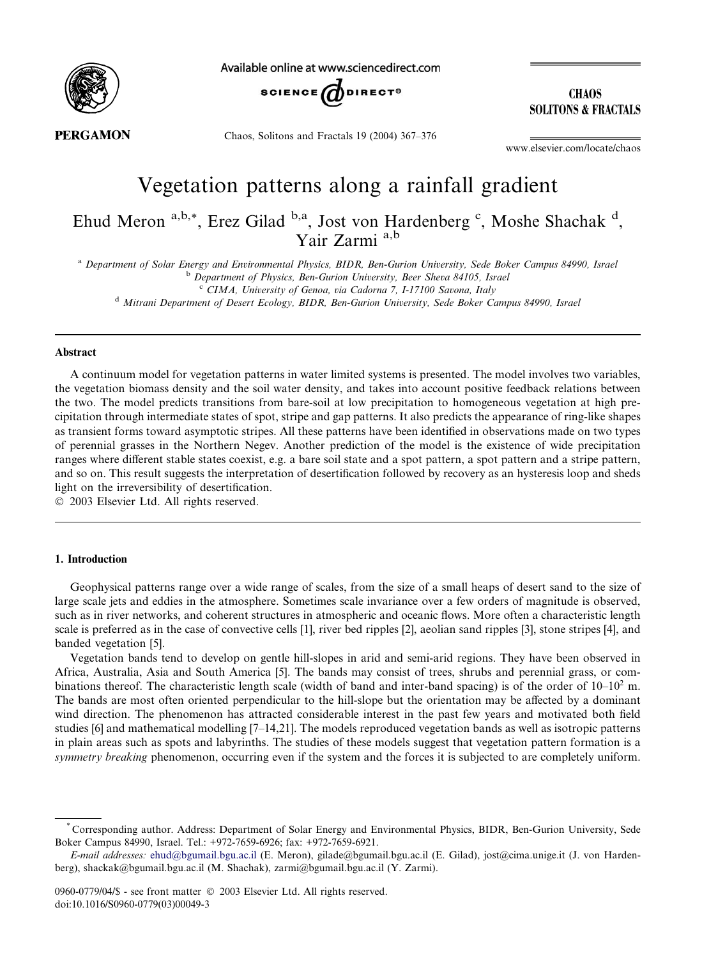

Available online at www.sciencedirect.com



**CHAOS SOLITONS & FRACTALS** 

**PERGAMON** 

Chaos, Solitons and Fractals 19 (2004) 367–376

www.elsevier.com/locate/chaos

# Vegetation patterns along a rainfall gradient

Ehud Meron <sup>a,b,\*</sup>, Erez Gilad <sup>b,a</sup>, Jost von Hardenberg <sup>c</sup>, Moshe Shachak <sup>d</sup>, Yair Zarmi<sup>a,b</sup>

<sup>a</sup> Department of Solar Energy and Environmental Physics, BIDR, Ben-Gurion University, Sede Boker Campus 84990, Israel

<sup>b</sup> Department of Physics, Ben-Gurion University, Beer Sheva 84105, Israel

<sup>c</sup> CIMA, University of Genoa, via Cadorna 7, I-17100 Savona, Italy

<sup>d</sup> Mitrani Department of Desert Ecology, BIDR, Ben-Gurion University, Sede Boker Campus 84990, Israel

## Abstract

A continuum model for vegetation patterns in water limited systems is presented. The model involves two variables, the vegetation biomass density and the soil water density, and takes into account positive feedback relations between the two. The model predicts transitions from bare-soil at low precipitation to homogeneous vegetation at high precipitation through intermediate states of spot, stripe and gap patterns. It also predicts the appearance of ring-like shapes as transient forms toward asymptotic stripes. All these patterns have been identified in observations made on two types of perennial grasses in the Northern Negev. Another prediction of the model is the existence of wide precipitation ranges where different stable states coexist, e.g. a bare soil state and a spot pattern, a spot pattern and a stripe pattern, and so on. This result suggests the interpretation of desertification followed by recovery as an hysteresis loop and sheds light on the irreversibility of desertification.

2003 Elsevier Ltd. All rights reserved.

## 1. Introduction

Geophysical patterns range over a wide range of scales, from the size of a small heaps of desert sand to the size of large scale jets and eddies in the atmosphere. Sometimes scale invariance over a few orders of magnitude is observed, such as in river networks, and coherent structures in atmospheric and oceanic flows. More often a characteristic length scale is preferred as in the case of convective cells [1], river bed ripples [2], aeolian sand ripples [3], stone stripes [4], and banded vegetation [5].

Vegetation bands tend to develop on gentle hill-slopes in arid and semi-arid regions. They have been observed in Africa, Australia, Asia and South America [5]. The bands may consist of trees, shrubs and perennial grass, or combinations thereof. The characteristic length scale (width of band and inter-band spacing) is of the order of  $10-10^2$  m. The bands are most often oriented perpendicular to the hill-slope but the orientation may be affected by a dominant wind direction. The phenomenon has attracted considerable interest in the past few years and motivated both field studies [6] and mathematical modelling [7–14,21]. The models reproduced vegetation bands as well as isotropic patterns in plain areas such as spots and labyrinths. The studies of these models suggest that vegetation pattern formation is a symmetry breaking phenomenon, occurring even if the system and the forces it is subjected to are completely uniform.

<sup>\*</sup> Corresponding author. Address: Department of Solar Energy and Environmental Physics, BIDR, Ben-Gurion University, Sede Boker Campus 84990, Israel. Tel.: +972-7659-6926; fax: +972-7659-6921.

E-mail addresses: [ehud@bgumail.bgu.ac.il](mail to: ehud@bgumail.bgu.ac.il) (E. Meron), gilade@bgumail.bgu.ac.il (E. Gilad), jost@cima.unige.it (J. von Hardenberg), shackak@bgumail.bgu.ac.il (M. Shachak), zarmi@bgumail.bgu.ac.il (Y. Zarmi).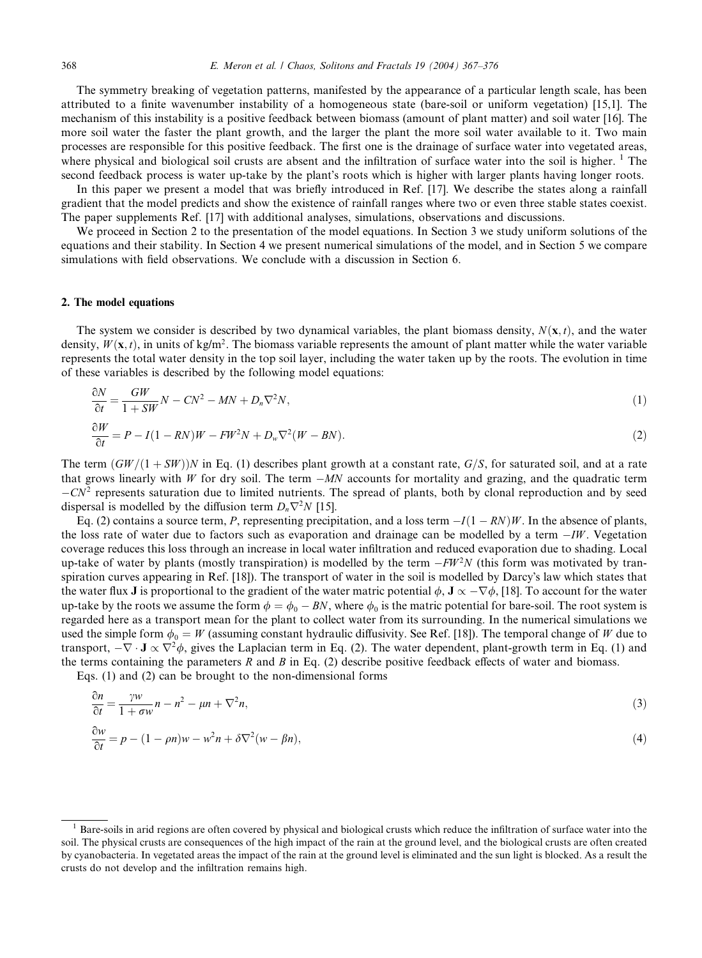The symmetry breaking of vegetation patterns, manifested by the appearance of a particular length scale, has been attributed to a finite wavenumber instability of a homogeneous state (bare-soil or uniform vegetation) [15,1]. The mechanism of this instability is a positive feedback between biomass (amount of plant matter) and soil water [16]. The more soil water the faster the plant growth, and the larger the plant the more soil water available to it. Two main processes are responsible for this positive feedback. The first one is the drainage of surface water into vegetated areas, where physical and biological soil crusts are absent and the infiltration of surface water into the soil is higher.  $1$  The second feedback process is water up-take by the plant's roots which is higher with larger plants having longer roots.

In this paper we present a model that was briefly introduced in Ref. [17]. We describe the states along a rainfall gradient that the model predicts and show the existence of rainfall ranges where two or even three stable states coexist. The paper supplements Ref. [17] with additional analyses, simulations, observations and discussions.

We proceed in Section 2 to the presentation of the model equations. In Section 3 we study uniform solutions of the equations and their stability. In Section 4 we present numerical simulations of the model, and in Section 5 we compare simulations with field observations. We conclude with a discussion in Section 6.

### 2. The model equations

 $\sim$ 

The system we consider is described by two dynamical variables, the plant biomass density,  $N(\mathbf{x}, t)$ , and the water density,  $W(\mathbf{x}, t)$ , in units of kg/m<sup>2</sup>. The biomass variable represents the amount of plant matter while the water variable represents the total water density in the top soil layer, including the water taken up by the roots. The evolution in time of these variables is described by the following model equations:

$$
\frac{\partial N}{\partial t} = \frac{GW}{1 + SW}N - CN^2 - MN + D_n\nabla^2 N,\tag{1}
$$

$$
\frac{\partial W}{\partial t} = P - I(1 - RN)W - FW^2N + D_w \nabla^2(W - BN). \tag{2}
$$

The term  $(GW/(1+SW))N$  in Eq. (1) describes plant growth at a constant rate,  $G/S$ , for saturated soil, and at a rate that grows linearly with W for dry soil. The term  $-MN$  accounts for mortality and grazing, and the quadratic term  $-CN<sup>2</sup>$  represents saturation due to limited nutrients. The spread of plants, both by clonal reproduction and by seed dispersal is modelled by the diffusion term  $D_n\nabla^2N$  [15].

Eq. (2) contains a source term, P, representing precipitation, and a loss term  $-I(1 - RN)W$ . In the absence of plants, the loss rate of water due to factors such as evaporation and drainage can be modelled by a term  $-IW$ . Vegetation coverage reduces this loss through an increase in local water infiltration and reduced evaporation due to shading. Local up-take of water by plants (mostly transpiration) is modelled by the term  $-FW<sup>2</sup>N$  (this form was motivated by transpiration curves appearing in Ref. [18]). The transport of water in the soil is modelled by Darcys law which states that the water flux **J** is proportional to the gradient of the water matric potential  $\phi$ ,  $J \propto -\nabla \phi$ , [18]. To account for the water up-take by the roots we assume the form  $\phi = \phi_0 - BN$ , where  $\phi_0$  is the matric potential for bare-soil. The root system is regarded here as a transport mean for the plant to collect water from its surrounding. In the numerical simulations we used the simple form  $\phi_0 = W$  (assuming constant hydraulic diffusivity. See Ref. [18]). The temporal change of W due to transport,  $-\nabla \cdot \mathbf{J} \propto \nabla^2 \phi$ , gives the Laplacian term in Eq. (2). The water dependent, plant-growth term in Eq. (1) and the terms containing the parameters  $R$  and  $B$  in Eq. (2) describe positive feedback effects of water and biomass.

Eqs. (1) and (2) can be brought to the non-dimensional forms

$$
\frac{\partial n}{\partial t} = \frac{\gamma w}{1 + \sigma w} n - n^2 - \mu n + \nabla^2 n,\tag{3}
$$

$$
\frac{\partial w}{\partial t} = p - (1 - \rho n)w - w^2 n + \delta \nabla^2 (w - \beta n),\tag{4}
$$

<sup>&</sup>lt;sup>1</sup> Bare-soils in arid regions are often covered by physical and biological crusts which reduce the infiltration of surface water into the soil. The physical crusts are consequences of the high impact of the rain at the ground level, and the biological crusts are often created by cyanobacteria. In vegetated areas the impact of the rain at the ground level is eliminated and the sun light is blocked. As a result the crusts do not develop and the infiltration remains high.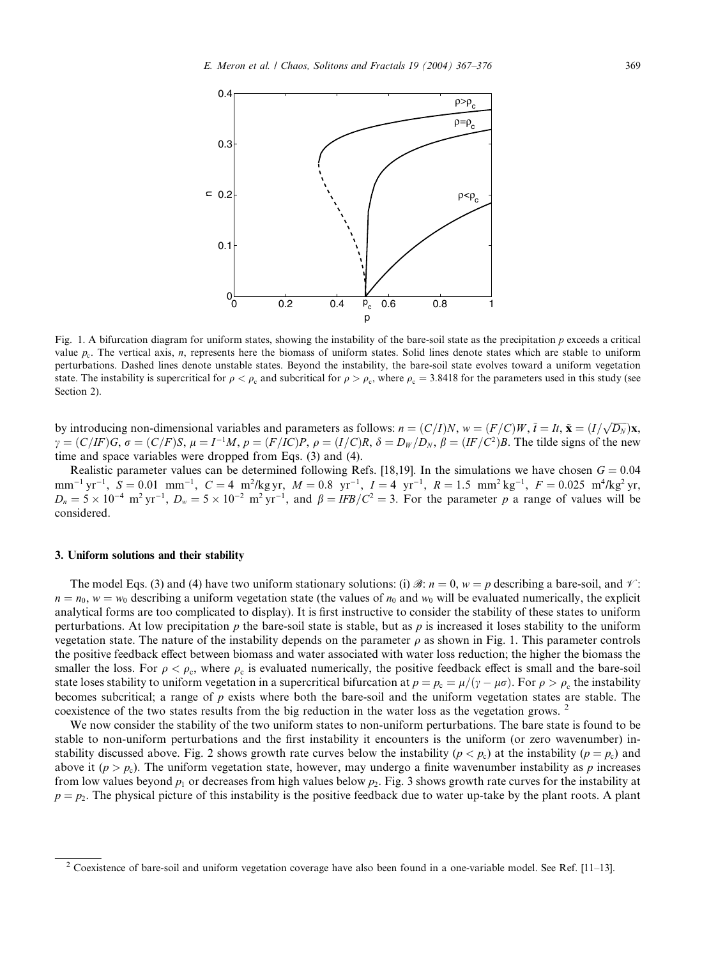

Fig. 1. A bifurcation diagram for uniform states, showing the instability of the bare-soil state as the precipitation  $p$  exceeds a critical value  $p_c$ . The vertical axis, n, represents here the biomass of uniform states. Solid lines denote states which are stable to uniform perturbations. Dashed lines denote unstable states. Beyond the instability, the bare-soil state evolves toward a uniform vegetation state. The instability is supercritical for  $\rho < \rho_c$  and subcritical for  $\rho > \rho_c$ , where  $\rho_c = 3.8418$  for the parameters used in this study (see Section 2).

by introducing non-dimensional variables and parameters as follows:  $n = (C/I)N$ ,  $w = (F/C)W$ ,  $\tilde{t} = It$ ,  $\tilde{\mathbf{x}} = (I/\sqrt{D_N})\mathbf{x}$ ,  $\gamma = (C/IF)G$ ,  $\sigma = (C/F)S$ ,  $\mu = I^{-1}M$ ,  $p = (F/IC)P$ ,  $\rho = (I/C)R$ ,  $\delta = D_W/D_N$ ,  $\beta = (IF/C^2)B$ . The tilde signs of the new time and space variables were dropped from Eqs. (3) and (4).

Realistic parameter values can be determined following Refs. [18,19]. In the simulations we have chosen  $G = 0.04$ mm<sup>-1</sup> yr<sup>-1</sup>,  $S = 0.01$  mm<sup>-1</sup>,  $C = 4$  m<sup>2</sup>/kg yr,  $M = 0.8$  yr<sup>-1</sup>,  $I = 4$  yr<sup>-1</sup>,  $R = 1.5$  mm<sup>2</sup> kg<sup>-1</sup>,  $F = 0.025$  m<sup>4</sup>/kg<sup>2</sup> yr,  $D_n = 5 \times 10^{-4}$  m<sup>2</sup> yr<sup>-1</sup>,  $D_w = 5 \times 10^{-2}$  m<sup>2</sup> yr<sup>-1</sup>, and  $\beta = IFB/C^2 = 3$ . For the parameter p a range of values will be considered.

# 3. Uniform solutions and their stability

The model Eqs. (3) and (4) have two uniform stationary solutions: (i)  $\mathscr{B}$ :  $n = 0$ ,  $w = p$  describing a bare-soil, and  $\mathscr{V}$ :  $n = n_0$ ,  $w = w_0$  describing a uniform vegetation state (the values of  $n_0$  and  $w_0$  will be evaluated numerically, the explicit analytical forms are too complicated to display). It is first instructive to consider the stability of these states to uniform perturbations. At low precipitation  $p$  the bare-soil state is stable, but as  $p$  is increased it loses stability to the uniform vegetation state. The nature of the instability depends on the parameter  $\rho$  as shown in Fig. 1. This parameter controls the positive feedback effect between biomass and water associated with water loss reduction; the higher the biomass the smaller the loss. For  $\rho < \rho_c$ , where  $\rho_c$  is evaluated numerically, the positive feedback effect is small and the bare-soil state loses stability to uniform vegetation in a supercritical bifurcation at  $p = p_c = \mu/(\gamma - \mu \sigma)$ . For  $\rho > \rho_c$  the instability becomes subcritical; a range of p exists where both the bare-soil and the uniform vegetation states are stable. The coexistence of the two states results from the big reduction in the water loss as the vegetation grows.<sup>2</sup>

We now consider the stability of the two uniform states to non-uniform perturbations. The bare state is found to be stable to non-uniform perturbations and the first instability it encounters is the uniform (or zero wavenumber) instability discussed above. Fig. 2 shows growth rate curves below the instability ( $p < p_c$ ) at the instability ( $p = p_c$ ) and above it  $(p > p_c)$ . The uniform vegetation state, however, may undergo a finite wavenumber instability as p increases from low values beyond  $p_1$  or decreases from high values below  $p_2$ . Fig. 3 shows growth rate curves for the instability at  $p = p<sub>2</sub>$ . The physical picture of this instability is the positive feedback due to water up-take by the plant roots. A plant

<sup>2</sup> Coexistence of bare-soil and uniform vegetation coverage have also been found in a one-variable model. See Ref. [11–13].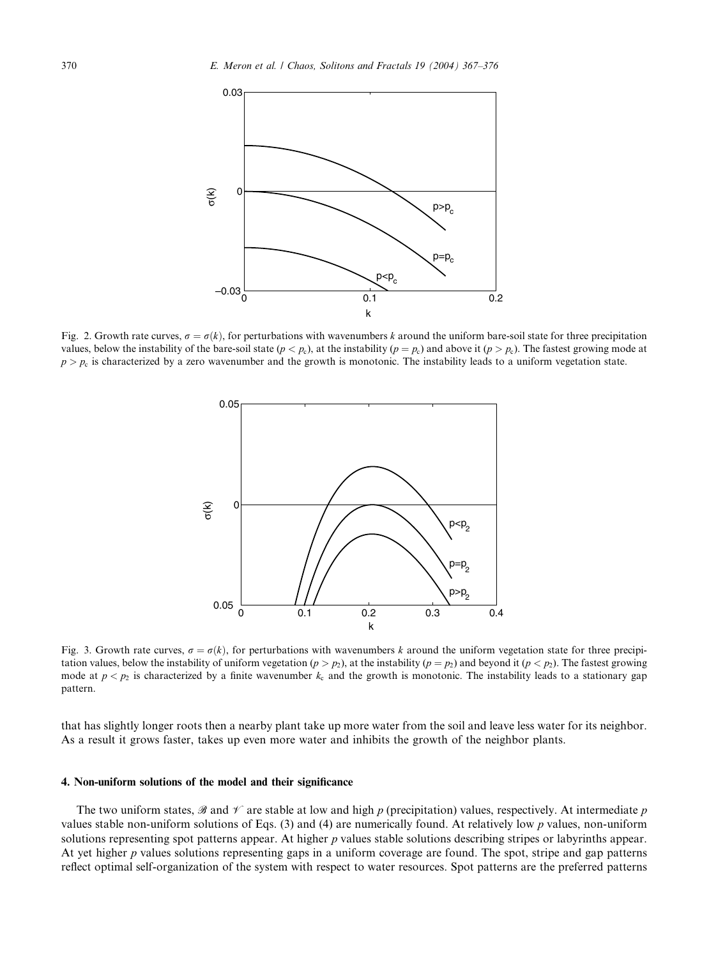

Fig. 2. Growth rate curves,  $\sigma = \sigma(k)$ , for perturbations with wavenumbers k around the uniform bare-soil state for three precipitation values, below the instability of the bare-soil state  $(p < p_c)$ , at the instability  $(p = p_c)$  and above it  $(p > p_c)$ . The fastest growing mode at  $p > p_c$  is characterized by a zero wavenumber and the growth is monotonic. The instability leads to a uniform vegetation state.



Fig. 3. Growth rate curves,  $\sigma = \sigma(k)$ , for perturbations with wavenumbers k around the uniform vegetation state for three precipitation values, below the instability of uniform vegetation  $(p > p_2)$ , at the instability  $(p = p_2)$  and beyond it  $(p < p_2)$ . The fastest growing mode at  $p < p_2$  is characterized by a finite wavenumber  $k_c$  and the growth is monotonic. The instability leads to a stationary gap pattern.

that has slightly longer roots then a nearby plant take up more water from the soil and leave less water for its neighbor. As a result it grows faster, takes up even more water and inhibits the growth of the neighbor plants.

#### 4. Non-uniform solutions of the model and their significance

The two uniform states,  $\mathscr B$  and  $\mathscr V$  are stable at low and high p (precipitation) values, respectively. At intermediate p values stable non-uniform solutions of Eqs. (3) and (4) are numerically found. At relatively low  $p$  values, non-uniform solutions representing spot patterns appear. At higher  $p$  values stable solutions describing stripes or labyrinths appear. At yet higher p values solutions representing gaps in a uniform coverage are found. The spot, stripe and gap patterns reflect optimal self-organization of the system with respect to water resources. Spot patterns are the preferred patterns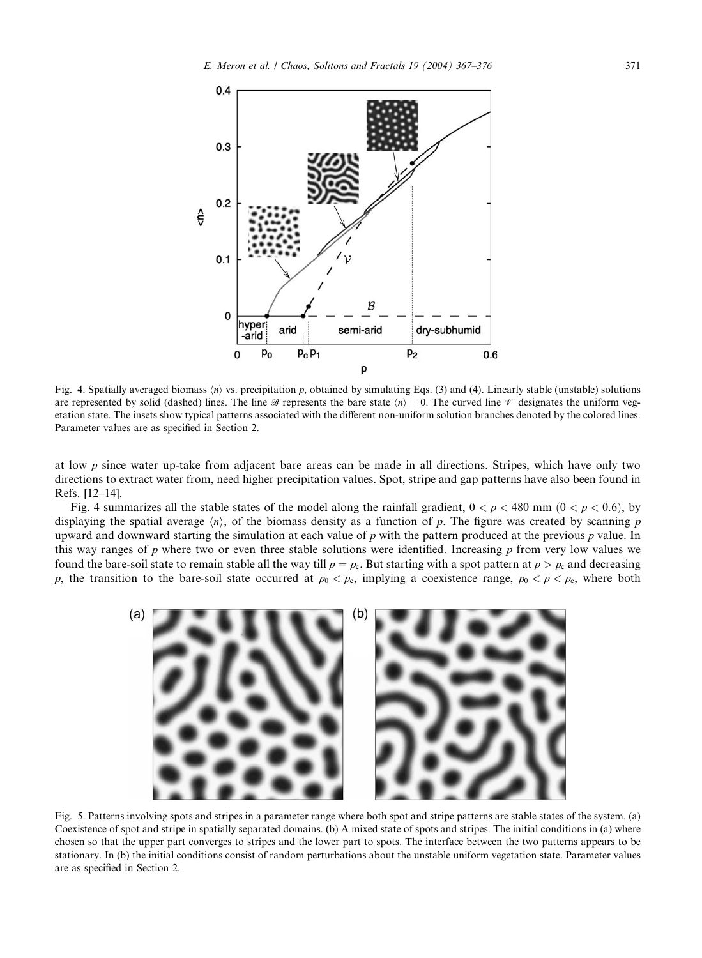

Fig. 4. Spatially averaged biomass  $\langle n \rangle$  vs. precipitation p, obtained by simulating Eqs. (3) and (4). Linearly stable (unstable) solutions are represented by solid (dashed) lines. The line B represents the bare state  $\langle n \rangle = 0$ . The curved line  $\mathcal V$  designates the uniform vegetation state. The insets show typical patterns associated with the different non-uniform solution branches denoted by the colored lines. Parameter values are as specified in Section 2.

at low  $p$  since water up-take from adjacent bare areas can be made in all directions. Stripes, which have only two directions to extract water from, need higher precipitation values. Spot, stripe and gap patterns have also been found in Refs. [12–14].

Fig. 4 summarizes all the stable states of the model along the rainfall gradient,  $0 < p < 480$  mm  $(0 < p < 0.6)$ , by displaying the spatial average  $\langle n \rangle$ , of the biomass density as a function of p. The figure was created by scanning p upward and downward starting the simulation at each value of  $p$  with the pattern produced at the previous  $p$  value. In this way ranges of  $p$  where two or even three stable solutions were identified. Increasing  $p$  from very low values we found the bare-soil state to remain stable all the way till  $p = p_c$ . But starting with a spot pattern at  $p > p_c$  and decreasing p, the transition to the bare-soil state occurred at  $p_0 < p_c$ , implying a coexistence range,  $p_0 < p < p_c$ , where both



Fig. 5. Patterns involving spots and stripes in a parameter range where both spot and stripe patterns are stable states of the system. (a) Coexistence of spot and stripe in spatially separated domains. (b) A mixed state of spots and stripes. The initial conditions in (a) where chosen so that the upper part converges to stripes and the lower part to spots. The interface between the two patterns appears to be stationary. In (b) the initial conditions consist of random perturbations about the unstable uniform vegetation state. Parameter values are as specified in Section 2.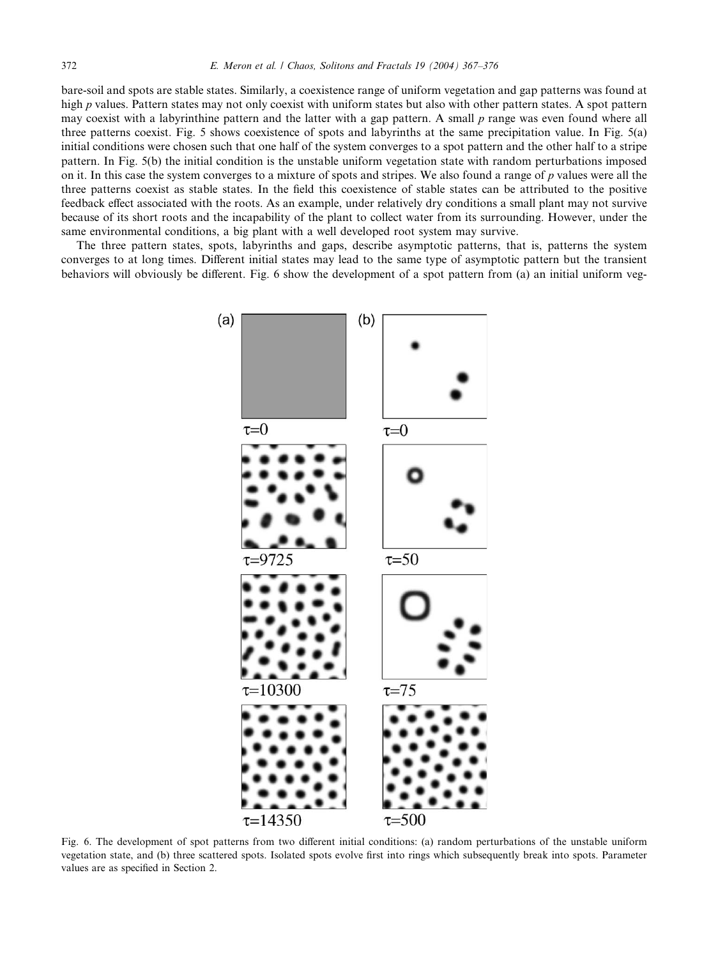bare-soil and spots are stable states. Similarly, a coexistence range of uniform vegetation and gap patterns was found at high  $p$  values. Pattern states may not only coexist with uniform states but also with other pattern states. A spot pattern may coexist with a labyrinthine pattern and the latter with a gap pattern. A small  $p$  range was even found where all three patterns coexist. Fig. 5 shows coexistence of spots and labyrinths at the same precipitation value. In Fig. 5(a) initial conditions were chosen such that one half of the system converges to a spot pattern and the other half to a stripe pattern. In Fig. 5(b) the initial condition is the unstable uniform vegetation state with random perturbations imposed on it. In this case the system converges to a mixture of spots and stripes. We also found a range of  $p$  values were all the three patterns coexist as stable states. In the field this coexistence of stable states can be attributed to the positive feedback effect associated with the roots. As an example, under relatively dry conditions a small plant may not survive because of its short roots and the incapability of the plant to collect water from its surrounding. However, under the same environmental conditions, a big plant with a well developed root system may survive.

The three pattern states, spots, labyrinths and gaps, describe asymptotic patterns, that is, patterns the system converges to at long times. Different initial states may lead to the same type of asymptotic pattern but the transient behaviors will obviously be different. Fig. 6 show the development of a spot pattern from (a) an initial uniform veg-



Fig. 6. The development of spot patterns from two different initial conditions: (a) random perturbations of the unstable uniform vegetation state, and (b) three scattered spots. Isolated spots evolve first into rings which subsequently break into spots. Parameter values are as specified in Section 2.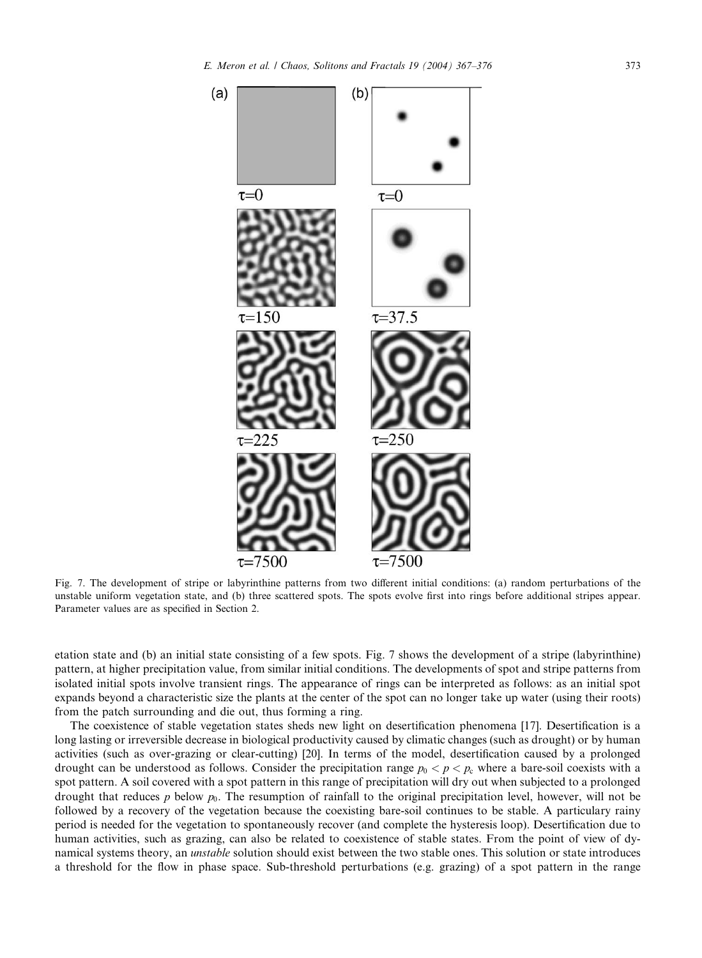

Fig. 7. The development of stripe or labyrinthine patterns from two different initial conditions: (a) random perturbations of the unstable uniform vegetation state, and (b) three scattered spots. The spots evolve first into rings before additional stripes appear. Parameter values are as specified in Section 2.

etation state and (b) an initial state consisting of a few spots. Fig. 7 shows the development of a stripe (labyrinthine) pattern, at higher precipitation value, from similar initial conditions. The developments of spot and stripe patterns from isolated initial spots involve transient rings. The appearance of rings can be interpreted as follows: as an initial spot expands beyond a characteristic size the plants at the center of the spot can no longer take up water (using their roots) from the patch surrounding and die out, thus forming a ring.

The coexistence of stable vegetation states sheds new light on desertification phenomena [17]. Desertification is a long lasting or irreversible decrease in biological productivity caused by climatic changes (such as drought) or by human activities (such as over-grazing or clear-cutting) [20]. In terms of the model, desertification caused by a prolonged drought can be understood as follows. Consider the precipitation range  $p_0 < p < p_c$  where a bare-soil coexists with a spot pattern. A soil covered with a spot pattern in this range of precipitation will dry out when subjected to a prolonged drought that reduces p below  $p_0$ . The resumption of rainfall to the original precipitation level, however, will not be followed by a recovery of the vegetation because the coexisting bare-soil continues to be stable. A particulary rainy period is needed for the vegetation to spontaneously recover (and complete the hysteresis loop). Desertification due to human activities, such as grazing, can also be related to coexistence of stable states. From the point of view of dynamical systems theory, an *unstable* solution should exist between the two stable ones. This solution or state introduces a threshold for the flow in phase space. Sub-threshold perturbations (e.g. grazing) of a spot pattern in the range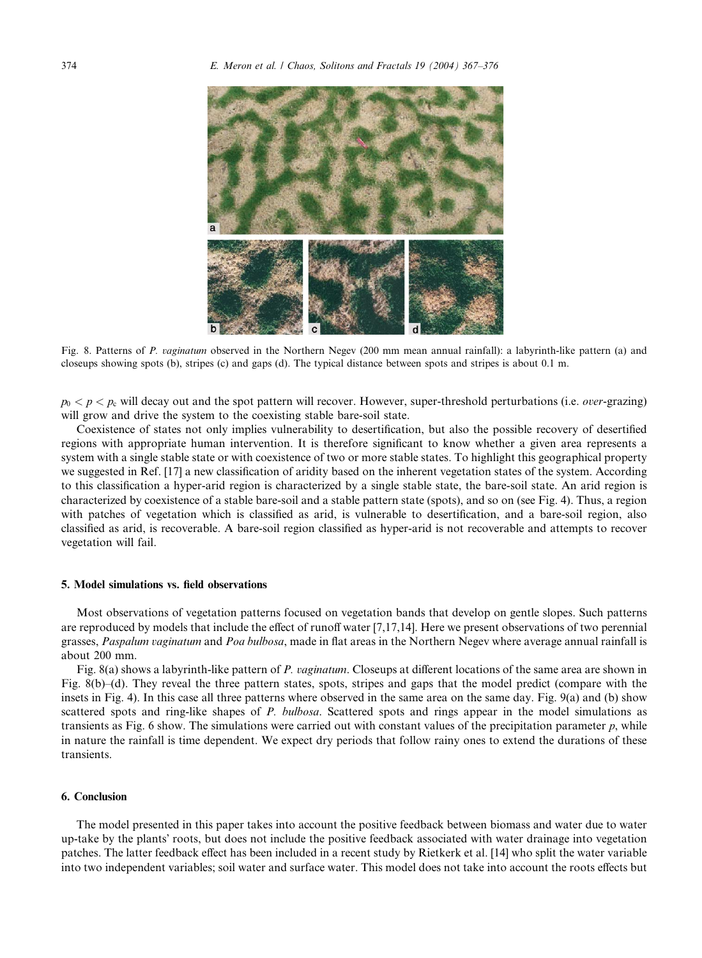

Fig. 8. Patterns of P. vaginatum observed in the Northern Negev (200 mm mean annual rainfall): a labyrinth-like pattern (a) and closeups showing spots (b), stripes (c) and gaps (d). The typical distance between spots and stripes is about 0.1 m.

 $p_0 < p < p_c$  will decay out and the spot pattern will recover. However, super-threshold perturbations (i.e. *over-grazing*) will grow and drive the system to the coexisting stable bare-soil state.

Coexistence of states not only implies vulnerability to desertification, but also the possible recovery of desertified regions with appropriate human intervention. It is therefore significant to know whether a given area represents a system with a single stable state or with coexistence of two or more stable states. To highlight this geographical property we suggested in Ref. [17] a new classification of aridity based on the inherent vegetation states of the system. According to this classification a hyper-arid region is characterized by a single stable state, the bare-soil state. An arid region is characterized by coexistence of a stable bare-soil and a stable pattern state (spots), and so on (see Fig. 4). Thus, a region with patches of vegetation which is classified as arid, is vulnerable to desertification, and a bare-soil region, also classified as arid, is recoverable. A bare-soil region classified as hyper-arid is not recoverable and attempts to recover vegetation will fail.

## 5. Model simulations vs. field observations

Most observations of vegetation patterns focused on vegetation bands that develop on gentle slopes. Such patterns are reproduced by models that include the effect of runoff water [7,17,14]. Here we present observations of two perennial grasses, Paspalum vaginatum and Poa bulbosa, made in flat areas in the Northern Negev where average annual rainfall is about 200 mm.

Fig. 8(a) shows a labyrinth-like pattern of P. vaginatum. Closeups at different locations of the same area are shown in Fig. 8(b)–(d). They reveal the three pattern states, spots, stripes and gaps that the model predict (compare with the insets in Fig. 4). In this case all three patterns where observed in the same area on the same day. Fig. 9(a) and (b) show scattered spots and ring-like shapes of P. bulbosa. Scattered spots and rings appear in the model simulations as transients as Fig. 6 show. The simulations were carried out with constant values of the precipitation parameter  $p$ , while in nature the rainfall is time dependent. We expect dry periods that follow rainy ones to extend the durations of these transients.

# 6. Conclusion

The model presented in this paper takes into account the positive feedback between biomass and water due to water up-take by the plants roots, but does not include the positive feedback associated with water drainage into vegetation patches. The latter feedback effect has been included in a recent study by Rietkerk et al. [14] who split the water variable into two independent variables; soil water and surface water. This model does not take into account the roots effects but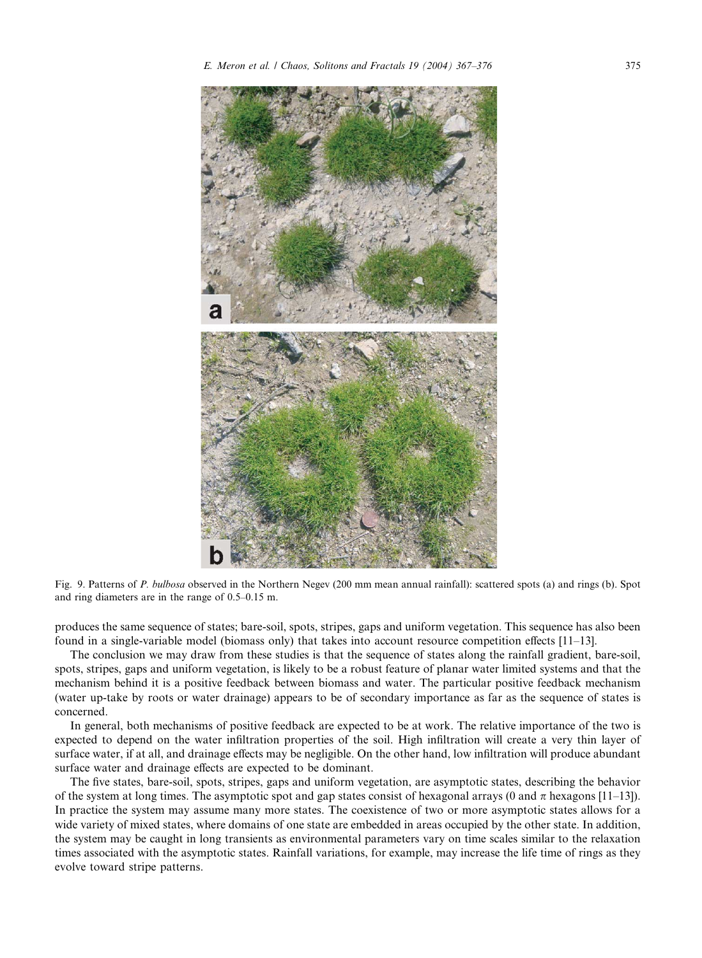

Fig. 9. Patterns of P. bulbosa observed in the Northern Negev (200 mm mean annual rainfall): scattered spots (a) and rings (b). Spot and ring diameters are in the range of 0.5–0.15 m.

produces the same sequence of states; bare-soil, spots, stripes, gaps and uniform vegetation. This sequence has also been found in a single-variable model (biomass only) that takes into account resource competition effects [11–13].

The conclusion we may draw from these studies is that the sequence of states along the rainfall gradient, bare-soil, spots, stripes, gaps and uniform vegetation, is likely to be a robust feature of planar water limited systems and that the mechanism behind it is a positive feedback between biomass and water. The particular positive feedback mechanism (water up-take by roots or water drainage) appears to be of secondary importance as far as the sequence of states is concerned.

In general, both mechanisms of positive feedback are expected to be at work. The relative importance of the two is expected to depend on the water infiltration properties of the soil. High infiltration will create a very thin layer of surface water, if at all, and drainage effects may be negligible. On the other hand, low infiltration will produce abundant surface water and drainage effects are expected to be dominant.

The five states, bare-soil, spots, stripes, gaps and uniform vegetation, are asymptotic states, describing the behavior of the system at long times. The asymptotic spot and gap states consist of hexagonal arrays (0 and  $\pi$  hexagons [11–13]). In practice the system may assume many more states. The coexistence of two or more asymptotic states allows for a wide variety of mixed states, where domains of one state are embedded in areas occupied by the other state. In addition, the system may be caught in long transients as environmental parameters vary on time scales similar to the relaxation times associated with the asymptotic states. Rainfall variations, for example, may increase the life time of rings as they evolve toward stripe patterns.